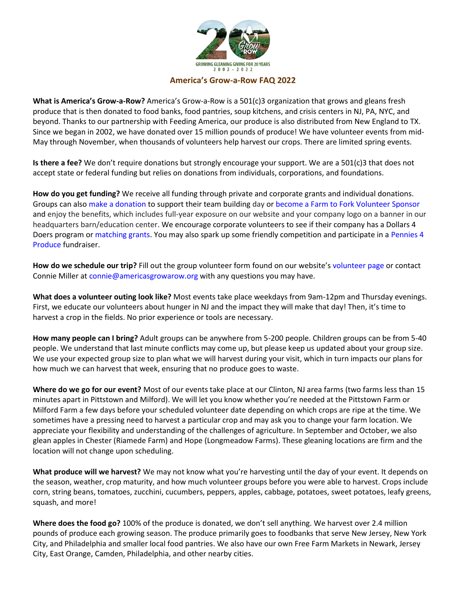

## **America's Grow-a-Row FAQ 2022**

**What is America's Grow-a-Row?** America's Grow-a-Row is a 501(c)3 organization that grows and gleans fresh produce that is then donated to food banks, food pantries, soup kitchens, and crisis centers in NJ, PA, NYC, and beyond. Thanks to our partnership with Feeding America, our produce is also distributed from New England to TX. Since we began in 2002, we have donated over 15 million pounds of produce! We have volunteer events from mid-May through November, when thousands of volunteers help harvest our crops. There are limited spring events.

**Is there a fee?** We don't require donations but strongly encourage your support. We are a 501(c)3 that does not accept state or federal funding but relies on donations from individuals, corporations, and foundations.

**How do you get funding?** We receive all funding through private and corporate grants and individual donations. Groups can als[o make a donation](https://www.americasgrowarow.org/donate/) to support their team building day or [become a Farm to Fork Volunteer Sponsor](https://www.americasgrowarow.org/events/2022-farm-to-fork-volunteer-sponsors/) and enjoy the benefits, which includes full-year exposure on our website and your company logo on a banner in our headquarters barn/education center. We encourage corporate volunteers to see if their company has a Dollars 4 Doers program or [matching grants.](https://www.americasgrowarow.org/matching-gifts/) You may also spark up some friendly competition and participate in a [Pennies 4](https://www.americasgrowarow.org/donate/pennies-4-produce/)  [Produce](https://www.americasgrowarow.org/donate/pennies-4-produce/) fundraiser.

**How do we schedule our trip?** Fill out the group volunteer form found on our website's [volunteer page](https://www.americasgrowarow.org/volunteer/companies/) or contact Connie Miller at [connie@americasgrowarow.org](mailto:connie@americasgrowarow.org) with any questions you may have.

**What does a volunteer outing look like?** Most events take place weekdays from 9am-12pm and Thursday evenings. First, we educate our volunteers about hunger in NJ and the impact they will make that day! Then, it's time to harvest a crop in the fields. No prior experience or tools are necessary.

**How many people can I bring?** Adult groups can be anywhere from 5-200 people. Children groups can be from 5-40 people. We understand that last minute conflicts may come up, but please keep us updated about your group size. We use your expected group size to plan what we will harvest during your visit, which in turn impacts our plans for how much we can harvest that week, ensuring that no produce goes to waste.

**Where do we go for our event?** Most of our events take place at our Clinton, NJ area farms (two farms less than 15 minutes apart in Pittstown and Milford). We will let you know whether you're needed at the Pittstown Farm or Milford Farm a few days before your scheduled volunteer date depending on which crops are ripe at the time. We sometimes have a pressing need to harvest a particular crop and may ask you to change your farm location. We appreciate your flexibility and understanding of the challenges of agriculture. In September and October, we also glean apples in Chester (Riamede Farm) and Hope (Longmeadow Farms). These gleaning locations are firm and the location will not change upon scheduling.

**What produce will we harvest?** We may not know what you're harvesting until the day of your event. It depends on the season, weather, crop maturity, and how much volunteer groups before you were able to harvest. Crops include corn, string beans, tomatoes, zucchini, cucumbers, peppers, apples, cabbage, potatoes, sweet potatoes, leafy greens, squash, and more!

**Where does the food go?** 100% of the produce is donated, we don't sell anything. We harvest over 2.4 million pounds of produce each growing season. The produce primarily goes to foodbanks that serve New Jersey, New York City, and Philadelphia and smaller local food pantries. We also have our own Free Farm Markets in Newark, Jersey City, East Orange, Camden, Philadelphia, and other nearby cities.